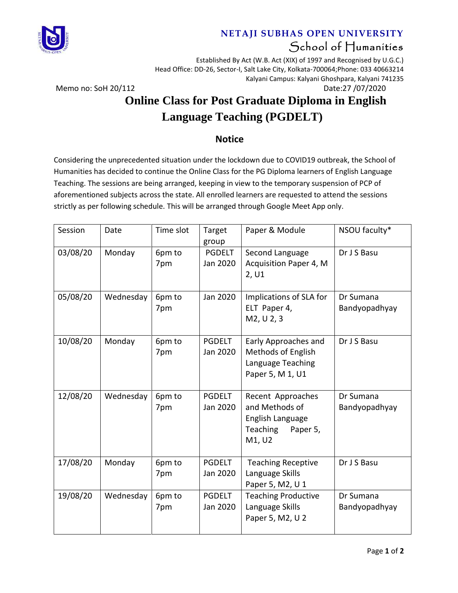

#### **NETAJI SUBHAS OPEN UNIVERSITY** School of Humanities

Established By Act (W.B. Act (XIX) of 1997 and Recognised by U.G.C.) Head Office: DD-26, Sector-I, Salt Lake City, Kolkata-700064;Phone: 033 40663214 Kalyani Campus: Kalyani Ghoshpara, Kalyani 741235

Memo no: SoH 20/112 Date:27 /07/2020

## **Online Class for Post Graduate Diploma in English Language Teaching (PGDELT)**

#### **Notice**

Considering the unprecedented situation under the lockdown due to COVID19 outbreak, the School of Humanities has decided to continue the Online Class for the PG Diploma learners of English Language Teaching. The sessions are being arranged, keeping in view to the temporary suspension of PCP of aforementioned subjects across the state. All enrolled learners are requested to attend the sessions strictly as per following schedule. This will be arranged through Google Meet App only.

| Session  | Date      | Time slot     | Target<br>group           | Paper & Module                                                                             | NSOU faculty*              |
|----------|-----------|---------------|---------------------------|--------------------------------------------------------------------------------------------|----------------------------|
| 03/08/20 | Monday    | 6pm to<br>7pm | <b>PGDELT</b><br>Jan 2020 | Second Language<br>Acquisition Paper 4, M<br>2, U1                                         | Dr J S Basu                |
| 05/08/20 | Wednesday | 6pm to<br>7pm | Jan 2020                  | Implications of SLA for<br>ELT Paper 4,<br>M2, U 2, 3                                      | Dr Sumana<br>Bandyopadhyay |
| 10/08/20 | Monday    | 6pm to<br>7pm | <b>PGDELT</b><br>Jan 2020 | Early Approaches and<br><b>Methods of English</b><br>Language Teaching<br>Paper 5, M 1, U1 | Dr J S Basu                |
| 12/08/20 | Wednesday | 6pm to<br>7pm | <b>PGDELT</b><br>Jan 2020 | Recent Approaches<br>and Methods of<br>English Language<br>Teaching<br>Paper 5,<br>M1, U2  | Dr Sumana<br>Bandyopadhyay |
| 17/08/20 | Monday    | 6pm to<br>7pm | <b>PGDELT</b><br>Jan 2020 | <b>Teaching Receptive</b><br>Language Skills<br>Paper 5, M2, U 1                           | Dr J S Basu                |
| 19/08/20 | Wednesday | 6pm to<br>7pm | <b>PGDELT</b><br>Jan 2020 | <b>Teaching Productive</b><br>Language Skills<br>Paper 5, M2, U 2                          | Dr Sumana<br>Bandyopadhyay |